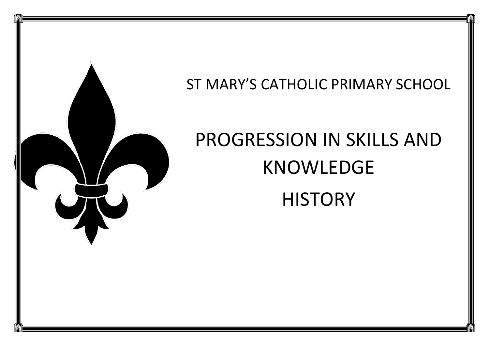

ST MARY'S CATHOLIC PRIMARY SCHOOL

## PROGRESSION IN SKILLS AND KNOWLEDGE **HISTORY**

<u>|</u>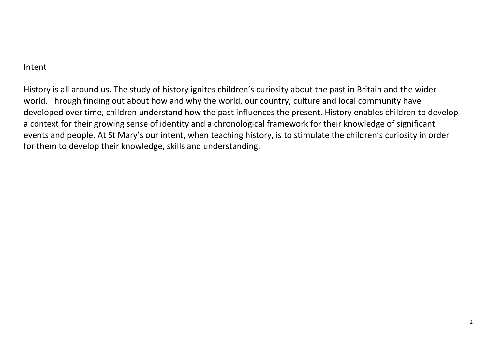## Intent

History is all around us. The study of history ignites children's curiosity about the past in Britain and the wider world. Through finding out about how and why the world, our country, culture and local community have developed over time, children understand how the past influences the present. History enables children to develop a context for their growing sense of identity and a chronological framework for their knowledge of significant events and people. At St Mary's our intent, when teaching history, is to stimulate the children's curiosity in order for them to develop their knowledge, skills and understanding.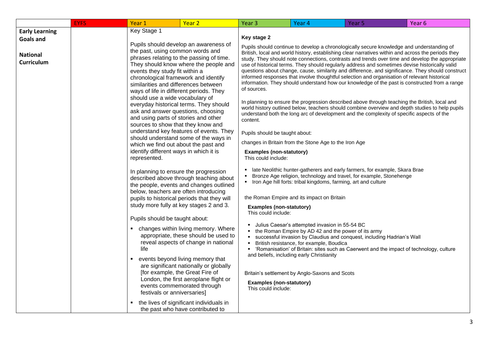|                                                                            | <b>EYFS</b> | Year 1                                                                                                                                                                                                                                                                                                                                          | Year <sub>2</sub>                                                                                                                                                                                                                                                                                                                                          | Year <sub>3</sub>                                                                                                                                              | Year 4                                                                                                                                                                                                                                           | Year 5                                                                                                                                                                                                                                                                                                                                                                                                                                                                                                                                                                                                                                                                                                                                                                                                                                                                                                         | Year 6 |
|----------------------------------------------------------------------------|-------------|-------------------------------------------------------------------------------------------------------------------------------------------------------------------------------------------------------------------------------------------------------------------------------------------------------------------------------------------------|------------------------------------------------------------------------------------------------------------------------------------------------------------------------------------------------------------------------------------------------------------------------------------------------------------------------------------------------------------|----------------------------------------------------------------------------------------------------------------------------------------------------------------|--------------------------------------------------------------------------------------------------------------------------------------------------------------------------------------------------------------------------------------------------|----------------------------------------------------------------------------------------------------------------------------------------------------------------------------------------------------------------------------------------------------------------------------------------------------------------------------------------------------------------------------------------------------------------------------------------------------------------------------------------------------------------------------------------------------------------------------------------------------------------------------------------------------------------------------------------------------------------------------------------------------------------------------------------------------------------------------------------------------------------------------------------------------------------|--------|
| <b>Early Learning</b><br><b>Goals and</b><br><b>National</b><br>Curriculum |             | Key Stage 1<br>the past, using common words and<br>events they study fit within a<br>chronological framework and identify<br>similarities and differences between<br>ways of life in different periods. They<br>should use a wide vocabulary of                                                                                                 | Pupils should develop an awareness of<br>phrases relating to the passing of time.<br>They should know where the people and<br>everyday historical terms. They should                                                                                                                                                                                       | Key stage 2<br>of sources.                                                                                                                                     |                                                                                                                                                                                                                                                  | Pupils should continue to develop a chronologically secure knowledge and understanding of<br>British, local and world history, establishing clear narratives within and across the periods they<br>study. They should note connections, contrasts and trends over time and develop the appropriate<br>use of historical terms. They should regularly address and sometimes devise historically valid<br>questions about change, cause, similarity and difference, and significance. They should construct<br>informed responses that involve thoughtful selection and organisation of relevant historical<br>information. They should understand how our knowledge of the past is constructed from a range<br>In planning to ensure the progression described above through teaching the British, local and<br>world history outlined below, teachers should combine overview and depth studies to help pupils |        |
|                                                                            |             | ask and answer questions, choosing<br>and using parts of stories and other<br>sources to show that they know and<br>which we find out about the past and<br>identify different ways in which it is<br>represented.<br>In planning to ensure the progression<br>below, teachers are often introducing<br>study more fully at key stages 2 and 3. | understand key features of events. They<br>should understand some of the ways in<br>described above through teaching about<br>the people, events and changes outlined<br>pupils to historical periods that they will                                                                                                                                       | content.<br>Pupils should be taught about:<br><b>Examples (non-statutory)</b><br>This could include:<br><b>Examples (non-statutory)</b><br>This could include: | changes in Britain from the Stone Age to the Iron Age<br>• Iron Age hill forts: tribal kingdoms, farming, art and culture<br>the Roman Empire and its impact on Britain                                                                          | understand both the long arc of development and the complexity of specific aspects of the<br>late Neolithic hunter-gatherers and early farmers, for example, Skara Brae<br>Bronze Age religion, technology and travel, for example, Stonehenge                                                                                                                                                                                                                                                                                                                                                                                                                                                                                                                                                                                                                                                                 |        |
|                                                                            |             | Pupils should be taught about:<br>life<br>٠<br>[for example, the Great Fire of<br>festivals or anniversaries]<br>٠                                                                                                                                                                                                                              | • changes within living memory. Where<br>appropriate, these should be used to<br>reveal aspects of change in national<br>events beyond living memory that<br>are significant nationally or globally<br>London, the first aeroplane flight or<br>events commemorated through<br>the lives of significant individuals in<br>the past who have contributed to | п.<br>٠.<br>٠<br>п.<br><b>Examples (non-statutory)</b><br>This could include:                                                                                  | Julius Caesar's attempted invasion in 55-54 BC<br>the Roman Empire by AD 42 and the power of its army<br>British resistance, for example, Boudica<br>and beliefs, including early Christianity<br>Britain's settlement by Anglo-Saxons and Scots | successful invasion by Claudius and conquest, including Hadrian's Wall<br>'Romanisation' of Britain: sites such as Caerwent and the impact of technology, culture                                                                                                                                                                                                                                                                                                                                                                                                                                                                                                                                                                                                                                                                                                                                              |        |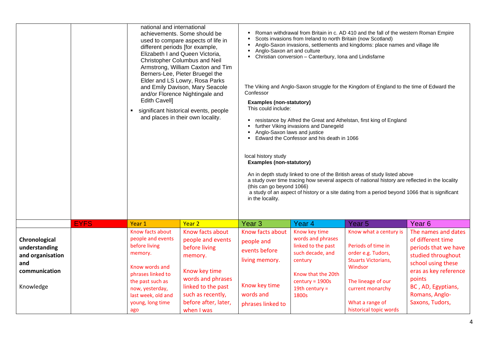|                                                                                         |             | used to compare aspects of life in<br>different periods [for example,<br>Elizabeth I and Queen Victoria,<br>Christopher Columbus and Neil<br>Armstrong, William Caxton and Tim<br>Berners-Lee, Pieter Bruegel the<br>Elder and LS Lowry, Rosa Parks<br>and Emily Davison, Mary Seacole<br>and/or Florence Nightingale and<br>Edith Cavell]<br>significant historical events, people<br>and places in their own locality. |                                                                                                                                                                                          | Roman withdrawal from Britain in c. AD 410 and the fall of the western Roman Empire<br>Confessor<br>local history study<br>in the locality. | Scots invasions from Ireland to north Britain (now Scotland)<br>Anglo-Saxon invasions, settlements and kingdoms: place names and village life<br>Anglo-Saxon art and culture<br>Christian conversion - Canterbury, Iona and Lindisfarne<br>The Viking and Anglo-Saxon struggle for the Kingdom of England to the time of Edward the<br><b>Examples (non-statutory)</b><br>This could include:<br>resistance by Alfred the Great and Athelstan, first king of England<br>further Viking invasions and Danegeld<br>Anglo-Saxon laws and justice<br>Edward the Confessor and his death in 1066<br><b>Examples (non-statutory)</b><br>An in depth study linked to one of the British areas of study listed above<br>a study over time tracing how several aspects of national history are reflected in the locality<br>(this can go beyond 1066)<br>a study of an aspect of history or a site dating from a period beyond 1066 that is significant |                                                                                                                                                                                                    |                                                                                                                                                                                                            |  |  |
|-----------------------------------------------------------------------------------------|-------------|--------------------------------------------------------------------------------------------------------------------------------------------------------------------------------------------------------------------------------------------------------------------------------------------------------------------------------------------------------------------------------------------------------------------------|------------------------------------------------------------------------------------------------------------------------------------------------------------------------------------------|---------------------------------------------------------------------------------------------------------------------------------------------|------------------------------------------------------------------------------------------------------------------------------------------------------------------------------------------------------------------------------------------------------------------------------------------------------------------------------------------------------------------------------------------------------------------------------------------------------------------------------------------------------------------------------------------------------------------------------------------------------------------------------------------------------------------------------------------------------------------------------------------------------------------------------------------------------------------------------------------------------------------------------------------------------------------------------------------------|----------------------------------------------------------------------------------------------------------------------------------------------------------------------------------------------------|------------------------------------------------------------------------------------------------------------------------------------------------------------------------------------------------------------|--|--|
|                                                                                         | <b>EYFS</b> | Year 1                                                                                                                                                                                                                                                                                                                                                                                                                   | Year <sub>2</sub>                                                                                                                                                                        | Year <sub>3</sub>                                                                                                                           | Year <sub>4</sub>                                                                                                                                                                                                                                                                                                                                                                                                                                                                                                                                                                                                                                                                                                                                                                                                                                                                                                                              | Year <sub>5</sub>                                                                                                                                                                                  | Year <sub>6</sub>                                                                                                                                                                                          |  |  |
| Chronological<br>understanding<br>and organisation<br>and<br>communication<br>Knowledge |             | Know facts about<br>people and events<br>before living<br>memory.<br>Know words and<br>phrases linked to<br>the past such as<br>now, yesterday,<br>last week, old and<br>young, long time<br>ago                                                                                                                                                                                                                         | Know facts about<br>people and events<br>before living<br>memory.<br>Know key time<br>words and phrases<br>linked to the past<br>such as recently,<br>before after, later,<br>when I was | Know facts about<br>people and<br>events before<br>living memory.<br>Know key time<br>words and<br>phrases linked to                        | Know key time<br>words and phrases<br>linked to the past<br>such decade, and<br>century<br>Know that the 20th<br>$century = 1900s$<br>19th century $=$<br>1800s                                                                                                                                                                                                                                                                                                                                                                                                                                                                                                                                                                                                                                                                                                                                                                                | Know what a century is<br>Periods of time in<br>order e.g. Tudors,<br><b>Stuarts Victorians,</b><br>Windsor<br>The lineage of our<br>current monarchy<br>What a range of<br>historical topic words | The names and dates<br>of different time<br>periods that we have<br>studied throughout<br>school using these<br>eras as key reference<br>points<br>BC, AD, Egyptians,<br>Romans, Anglo-<br>Saxons, Tudors, |  |  |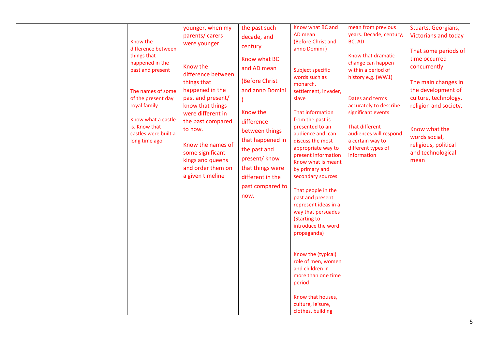| AD mean<br>years. Decade, century,<br>parents/ carers<br>decade, and<br>Know the<br>(Before Christ and<br>BC, AD<br>were younger<br>century<br>difference between<br>anno Domini)<br>things that<br>Know that dramatic<br>Know what BC<br>time occurred<br>happened in the<br>change can happen<br>Know the<br>concurrently<br>and AD mean<br>past and present<br>Subject specific<br>within a period of<br>difference between<br>words such as<br>history e.g. (WW1)<br>(Before Christ<br>things that<br>monarch,<br>happened in the<br>and anno Domini<br>The names of some<br>settlement, invader,<br>past and present/<br>of the present day<br>Dates and terms<br>slave<br>royal family<br>accurately to describe<br>know that things                                                                                                                                                                                                                                                                                                            |  |                                       |                           |                                      |                                          |                                                                                                                                                                                               |
|-------------------------------------------------------------------------------------------------------------------------------------------------------------------------------------------------------------------------------------------------------------------------------------------------------------------------------------------------------------------------------------------------------------------------------------------------------------------------------------------------------------------------------------------------------------------------------------------------------------------------------------------------------------------------------------------------------------------------------------------------------------------------------------------------------------------------------------------------------------------------------------------------------------------------------------------------------------------------------------------------------------------------------------------------------|--|---------------------------------------|---------------------------|--------------------------------------|------------------------------------------|-----------------------------------------------------------------------------------------------------------------------------------------------------------------------------------------------|
| Know what a castle<br>from the past is<br>the past compared<br>difference<br>is. Know that<br>That different<br>presented to an<br>Know what the<br>to now.<br>between things<br>castles were built a<br>audience and can<br>audiences will respond<br>words social,<br>that happened in<br>discuss the most<br>a certain way to<br>long time ago<br>Know the names of<br>religious, political<br>different types of<br>appropriate way to<br>the past and<br>some significant<br>present information<br>information<br>present/know<br>kings and queens<br>mean<br>Know what is meant<br>that things were<br>and order them on<br>by primary and<br>a given timeline<br>secondary sources<br>different in the<br>past compared to<br>That people in the<br>now.<br>past and present<br>represent ideas in a<br>way that persuades<br>(Starting to<br>introduce the word<br>propaganda)<br>Know the (typical)<br>role of men, women<br>and children in<br>more than one time<br>period<br>Know that houses,<br>culture, leisure,<br>clothes, building |  | younger, when my<br>were different in | the past such<br>Know the | Know what BC and<br>That information | mean from previous<br>significant events | Stuarts, Georgians,<br><b>Victorians and today</b><br>That some periods of<br>The main changes in<br>the development of<br>culture, technology,<br>religion and society.<br>and technological |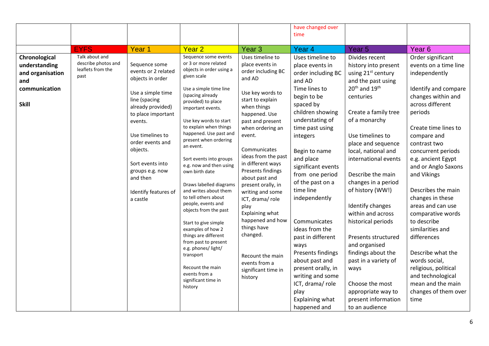|                                                                                            |                                                                    |                                                                                                                                                                                                                                                                                                 |                                                                                                                                                                                                                                                                                                                                                                                                                                                                                                                                                                                                                                                                                                                 |                                                                                                                                                                                                                                                                                                                                                                                                                                                                                                                | have changed over<br>time                                                                                                                                                                                                                                                                                                                                                                                                                                                                                                     |                                                                                                                                                                                                                                                                                                                                                                                                                                                                                                                                                                                                       |                                                                                                                                                                                                                                                                                                                                                                                                                                                                                                                                                                 |
|--------------------------------------------------------------------------------------------|--------------------------------------------------------------------|-------------------------------------------------------------------------------------------------------------------------------------------------------------------------------------------------------------------------------------------------------------------------------------------------|-----------------------------------------------------------------------------------------------------------------------------------------------------------------------------------------------------------------------------------------------------------------------------------------------------------------------------------------------------------------------------------------------------------------------------------------------------------------------------------------------------------------------------------------------------------------------------------------------------------------------------------------------------------------------------------------------------------------|----------------------------------------------------------------------------------------------------------------------------------------------------------------------------------------------------------------------------------------------------------------------------------------------------------------------------------------------------------------------------------------------------------------------------------------------------------------------------------------------------------------|-------------------------------------------------------------------------------------------------------------------------------------------------------------------------------------------------------------------------------------------------------------------------------------------------------------------------------------------------------------------------------------------------------------------------------------------------------------------------------------------------------------------------------|-------------------------------------------------------------------------------------------------------------------------------------------------------------------------------------------------------------------------------------------------------------------------------------------------------------------------------------------------------------------------------------------------------------------------------------------------------------------------------------------------------------------------------------------------------------------------------------------------------|-----------------------------------------------------------------------------------------------------------------------------------------------------------------------------------------------------------------------------------------------------------------------------------------------------------------------------------------------------------------------------------------------------------------------------------------------------------------------------------------------------------------------------------------------------------------|
|                                                                                            | <b>EYFS</b>                                                        | Year 1                                                                                                                                                                                                                                                                                          | Year <sub>2</sub>                                                                                                                                                                                                                                                                                                                                                                                                                                                                                                                                                                                                                                                                                               | Year <sub>3</sub>                                                                                                                                                                                                                                                                                                                                                                                                                                                                                              | Year 4                                                                                                                                                                                                                                                                                                                                                                                                                                                                                                                        | Year <sub>5</sub>                                                                                                                                                                                                                                                                                                                                                                                                                                                                                                                                                                                     | Year <sub>6</sub>                                                                                                                                                                                                                                                                                                                                                                                                                                                                                                                                               |
| Chronological<br>understanding<br>and organisation<br>and<br>communication<br><b>Skill</b> | Talk about and<br>describe photos and<br>leaflets from the<br>past | Sequence some<br>events or 2 related<br>objects in order<br>Use a simple time<br>line (spacing<br>already provided)<br>to place important<br>events.<br>Use timelines to<br>order events and<br>objects.<br>Sort events into<br>groups e.g. now<br>and then<br>Identify features of<br>a castle | Sequence some events<br>or 3 or more related<br>objects in order using a<br>given scale<br>Use a simple time line<br>(spacing already<br>provided) to place<br>important events.<br>Use key words to start<br>to explain when things<br>happened. Use past and<br>present when ordering<br>an event.<br>Sort events into groups<br>e.g. now and then using<br>own birth date<br>Draws labelled diagrams<br>and writes about them<br>to tell others about<br>people, events and<br>objects from the past<br>Start to give simple<br>examples of how 2<br>things are different<br>from past to present<br>e.g. phones/ light/<br>transport<br>Recount the main<br>events from a<br>significant time in<br>history | Uses timeline to<br>place events in<br>order including BC<br>and AD<br>Use key words to<br>start to explain<br>when things<br>happened. Use<br>past and present<br>when ordering an<br>event.<br>Communicates<br>ideas from the past<br>in different ways<br>Presents findings<br>about past and<br>present orally, in<br>writing and some<br>ICT, drama/role<br>play<br>Explaining what<br>happened and how<br>things have<br>changed.<br>Recount the main<br>events from a<br>significant time in<br>history | Uses timeline to<br>place events in<br>order including BC<br>and AD<br>Time lines to<br>begin to be<br>spaced by<br>children showing<br>understating of<br>time past using<br>integers<br>Begin to name<br>and place<br>significant events<br>from one period<br>of the past on a<br>time line<br>independently<br>Communicates<br>ideas from the<br>past in different<br>ways<br>Presents findings<br>about past and<br>present orally, in<br>writing and some<br>ICT, drama/role<br>play<br>Explaining what<br>happened and | Divides recent<br>history into present<br>using 21 <sup>st</sup> century<br>and the past using<br>20 <sup>th</sup> and 19 <sup>th</sup><br>centuries<br>Create a family tree<br>of a monarchy<br>Use timelines to<br>place and sequence<br>local, national and<br>international events<br>Describe the main<br>changes in a period<br>of history (WW!)<br>Identify changes<br>within and across<br>historical periods<br>Presents structured<br>and organised<br>findings about the<br>past in a variety of<br>ways<br>Choose the most<br>appropriate way to<br>present information<br>to an audience | Order significant<br>events on a time line<br>independently<br>Identify and compare<br>changes within and<br>across different<br>periods<br>Create time lines to<br>compare and<br>contrast two<br>concurrent periods<br>e.g. ancient Egypt<br>and or Anglo Saxons<br>and Vikings<br>Describes the main<br>changes in these<br>areas and can use<br>comparative words<br>to describe<br>similarities and<br>differences<br>Describe what the<br>words social,<br>religious, political<br>and technological<br>mean and the main<br>changes of them over<br>time |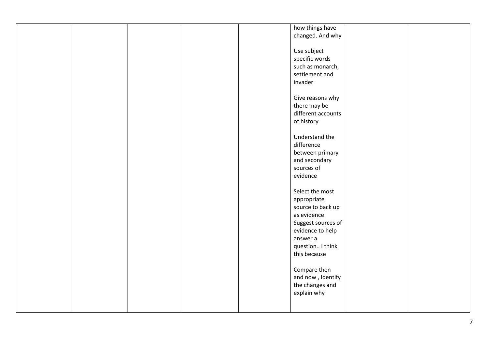|  |  | how things have<br>changed. And why                                                                                                          |  |
|--|--|----------------------------------------------------------------------------------------------------------------------------------------------|--|
|  |  | Use subject<br>specific words<br>such as monarch,<br>settlement and<br>invader                                                               |  |
|  |  | Give reasons why<br>there may be<br>different accounts<br>of history                                                                         |  |
|  |  | Understand the<br>difference<br>between primary<br>and secondary<br>sources of<br>evidence                                                   |  |
|  |  | Select the most<br>appropriate<br>source to back up<br>as evidence<br>Suggest sources of<br>evidence to help<br>answer a<br>question I think |  |
|  |  | this because<br>Compare then<br>and now, Identify<br>the changes and<br>explain why                                                          |  |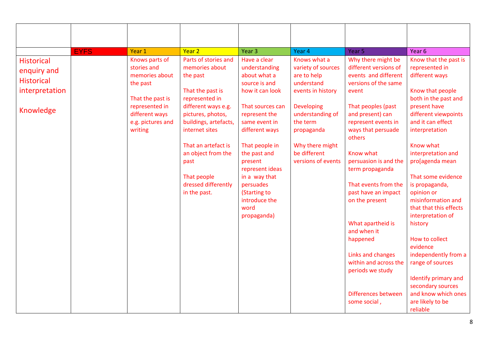| <b>EYFS</b>                                                                          | Year 1                                                                                                                                              | Year <sub>2</sub>                                                                                                                                                                                                                                                                          | Year 3                                                                                                                                                                                                                                                                                                          | Year 4                                                                                                                                                                                                           | Year <sub>5</sub>                                                                                                                                                                                                                                                                                                                                                                                                                                                                        | Year 6                                                                                                                                                                                                                                                                                                                                                                                                                                                                                                                                                         |
|--------------------------------------------------------------------------------------|-----------------------------------------------------------------------------------------------------------------------------------------------------|--------------------------------------------------------------------------------------------------------------------------------------------------------------------------------------------------------------------------------------------------------------------------------------------|-----------------------------------------------------------------------------------------------------------------------------------------------------------------------------------------------------------------------------------------------------------------------------------------------------------------|------------------------------------------------------------------------------------------------------------------------------------------------------------------------------------------------------------------|------------------------------------------------------------------------------------------------------------------------------------------------------------------------------------------------------------------------------------------------------------------------------------------------------------------------------------------------------------------------------------------------------------------------------------------------------------------------------------------|----------------------------------------------------------------------------------------------------------------------------------------------------------------------------------------------------------------------------------------------------------------------------------------------------------------------------------------------------------------------------------------------------------------------------------------------------------------------------------------------------------------------------------------------------------------|
| <b>Historical</b><br>enquiry and<br><b>Historical</b><br>interpretation<br>Knowledge | Knows parts of<br>stories and<br>memories about<br>the past<br>That the past is<br>represented in<br>different ways<br>e.g. pictures and<br>writing | Parts of stories and<br>memories about<br>the past<br>That the past is<br>represented in<br>different ways e.g.<br>pictures, photos,<br>buildings, artefacts,<br>internet sites<br>That an artefact is<br>an object from the<br>past<br>That people<br>dressed differently<br>in the past. | Have a clear<br>understanding<br>about what a<br>source is and<br>how it can look<br>That sources can<br>represent the<br>same event in<br>different ways<br>That people in<br>the past and<br>present<br>represent ideas<br>in a way that<br>persuades<br>(Starting to<br>introduce the<br>word<br>propaganda) | Knows what a<br>variety of sources<br>are to help<br>understand<br>events in history<br><b>Developing</b><br>understanding of<br>the term<br>propaganda<br>Why there might<br>be different<br>versions of events | Why there might be<br>different versions of<br>events and different<br>versions of the same<br>event<br>That peoples (past<br>and present) can<br>represent events in<br>ways that persuade<br>others<br>Know what<br>persuasion is and the<br>term propaganda<br>That events from the<br>past have an impact<br>on the present<br>What apartheid is<br>and when it<br>happened<br>Links and changes<br>within and across the<br>periods we study<br>Differences between<br>some social, | Know that the past is<br>represented in<br>different ways<br>Know that people<br>both in the past and<br>present have<br>different viewpoints<br>and it can effect<br>interpretation<br>Know what<br>interpretation and<br>pro[agenda mean<br>That some evidence<br>is propaganda,<br>opinion or<br>misinformation and<br>that that this effects<br>interpretation of<br>history<br>How to collect<br>evidence<br>independently from a<br>range of sources<br>Identify primary and<br>secondary sources<br>and know which ones<br>are likely to be<br>reliable |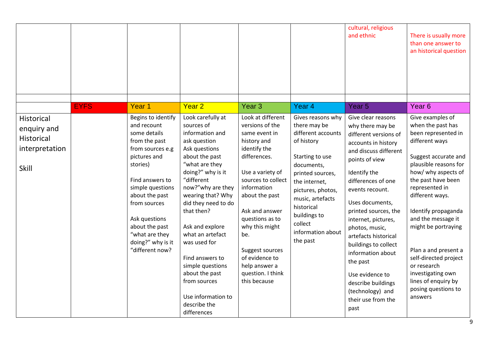|                                                                                  |             |                                                                                                                                                                                                                                                                                          |                                                                                                                                                                                                                                                                                                                                                                                                                                |                                                                                                                                                                                                                                                                                                                                          |                                                                                                                                                                                                                                                                | cultural, religious<br>and ethnic                                                                                                                                                                                                                                                                                                                                                                                                                          | There is usually more<br>than one answer to<br>an historical question                                                                                                                                                                                                                                                                                                                                                               |
|----------------------------------------------------------------------------------|-------------|------------------------------------------------------------------------------------------------------------------------------------------------------------------------------------------------------------------------------------------------------------------------------------------|--------------------------------------------------------------------------------------------------------------------------------------------------------------------------------------------------------------------------------------------------------------------------------------------------------------------------------------------------------------------------------------------------------------------------------|------------------------------------------------------------------------------------------------------------------------------------------------------------------------------------------------------------------------------------------------------------------------------------------------------------------------------------------|----------------------------------------------------------------------------------------------------------------------------------------------------------------------------------------------------------------------------------------------------------------|------------------------------------------------------------------------------------------------------------------------------------------------------------------------------------------------------------------------------------------------------------------------------------------------------------------------------------------------------------------------------------------------------------------------------------------------------------|-------------------------------------------------------------------------------------------------------------------------------------------------------------------------------------------------------------------------------------------------------------------------------------------------------------------------------------------------------------------------------------------------------------------------------------|
|                                                                                  | <b>EYFS</b> | Year <sub>1</sub>                                                                                                                                                                                                                                                                        | Year <sub>2</sub>                                                                                                                                                                                                                                                                                                                                                                                                              | Year <sub>3</sub>                                                                                                                                                                                                                                                                                                                        | Year <sub>4</sub>                                                                                                                                                                                                                                              | Year <sub>5</sub>                                                                                                                                                                                                                                                                                                                                                                                                                                          | Year <sub>6</sub>                                                                                                                                                                                                                                                                                                                                                                                                                   |
| <b>Historical</b><br>enquiry and<br><b>Historical</b><br>interpretation<br>Skill |             | Begins to identify<br>and recount<br>some details<br>from the past<br>from sources e.g<br>pictures and<br>stories)<br>Find answers to<br>simple questions<br>about the past<br>from sources<br>Ask questions<br>about the past<br>"what are they<br>doing?" why is it<br>"different now? | Look carefully at<br>sources of<br>information and<br>ask question<br>Ask questions<br>about the past<br>"what are they<br>doing?" why is it<br>"different<br>now?"why are they<br>wearing that? Why<br>did they need to do<br>that then?<br>Ask and explore<br>what an artefact<br>was used for<br>Find answers to<br>simple questions<br>about the past<br>from sources<br>Use information to<br>describe the<br>differences | Look at different<br>versions of the<br>same event in<br>history and<br>identify the<br>differences.<br>Use a variety of<br>sources to collect<br>information<br>about the past<br>Ask and answer<br>questions as to<br>why this might<br>be.<br>Suggest sources<br>of evidence to<br>help answer a<br>question. I think<br>this because | Gives reasons why<br>there may be<br>different accounts<br>of history<br>Starting to use<br>documents,<br>printed sources,<br>the internet,<br>pictures, photos,<br>music, artefacts<br>historical<br>buildings to<br>collect<br>information about<br>the past | Give clear reasons<br>why there may be<br>different versions of<br>accounts in history<br>and discuss different<br>points of view<br>Identify the<br>differences of one<br>events recount.<br>Uses documents,<br>printed sources, the<br>internet, pictures,<br>photos, music,<br>artefacts historical<br>buildings to collect<br>information about<br>the past<br>Use evidence to<br>describe buildings<br>(technology) and<br>their use from the<br>past | Give examples of<br>when the past has<br>been represented in<br>different ways<br>Suggest accurate and<br>plausible reasons for<br>how/ why aspects of<br>the past have been<br>represented in<br>different ways.<br>Identify propaganda<br>and the message it<br>might be portraying<br>Plan a and present a<br>self-directed project<br>or research<br>investigating own<br>lines of enquiry by<br>posing questions to<br>answers |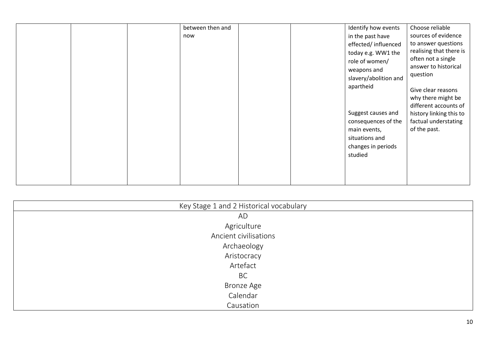| between then and<br>now | Identify how events<br>Choose reliable<br>sources of evidence<br>in the past have<br>to answer questions<br>effected/influenced<br>realising that there is<br>today e.g. WW1 the<br>often not a single<br>role of women/<br>answer to historical<br>weapons and<br>question<br>slavery/abolition and<br>apartheid<br>Give clear reasons<br>why there might be<br>different accounts of<br>Suggest causes and<br>history linking this to<br>consequences of the<br>factual understating<br>of the past.<br>main events,<br>situations and<br>changes in periods<br>studied |
|-------------------------|---------------------------------------------------------------------------------------------------------------------------------------------------------------------------------------------------------------------------------------------------------------------------------------------------------------------------------------------------------------------------------------------------------------------------------------------------------------------------------------------------------------------------------------------------------------------------|
|-------------------------|---------------------------------------------------------------------------------------------------------------------------------------------------------------------------------------------------------------------------------------------------------------------------------------------------------------------------------------------------------------------------------------------------------------------------------------------------------------------------------------------------------------------------------------------------------------------------|

| Key Stage 1 and 2 Historical vocabulary |
|-----------------------------------------|
| AD                                      |
| Agriculture                             |
| Ancient civilisations                   |
| Archaeology                             |
| Aristocracy                             |
| Artefact                                |
| <b>BC</b>                               |
| <b>Bronze Age</b>                       |
| Calendar                                |
| Causation                               |
|                                         |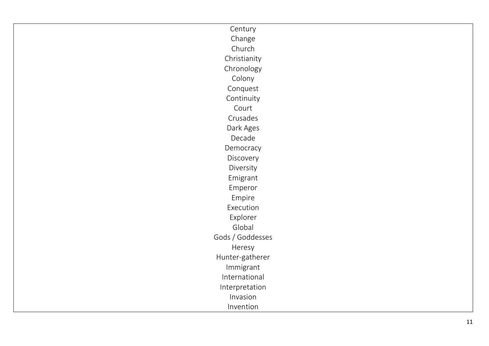| Century          |
|------------------|
| Change           |
| Church           |
| Christianity     |
| Chronology       |
| Colony           |
| Conquest         |
| Continuity       |
| Court            |
| Crusades         |
| Dark Ages        |
| Decade           |
| Democracy        |
| Discovery        |
| Diversity        |
| Emigrant         |
| Emperor          |
| Empire           |
| Execution        |
| Explorer         |
| Global           |
| Gods / Goddesses |
| Heresy           |
| Hunter-gatherer  |
| Immigrant        |
| International    |
| Interpretation   |
| Invasion         |
| Invention        |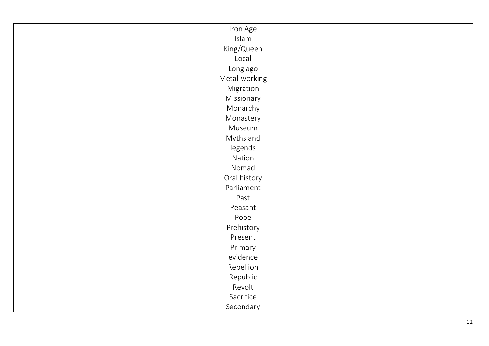| Iron Age      |
|---------------|
| Islam         |
| King/Queen    |
| Local         |
| Long ago      |
| Metal-working |
| Migration     |
| Missionary    |
| Monarchy      |
| Monastery     |
| Museum        |
| Myths and     |
| legends       |
| Nation        |
| Nomad         |
| Oral history  |
| Parliament    |
| Past          |
| Peasant       |
| Pope          |
| Prehistory    |
| Present       |
| Primary       |
| evidence      |
| Rebellion     |
| Republic      |
| Revolt        |
| Sacrifice     |
| Secondary     |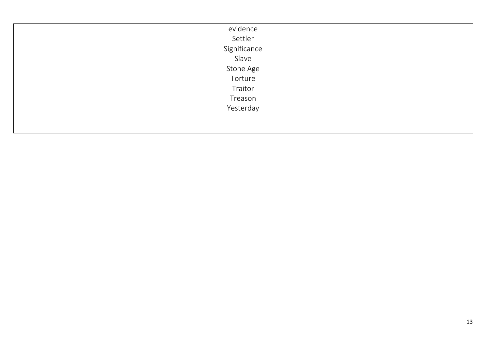| evidence     |
|--------------|
| Settler      |
| Significance |
| Slave        |
| Stone Age    |
| Torture      |
| Traitor      |
| Treason      |
| Yesterday    |
|              |
|              |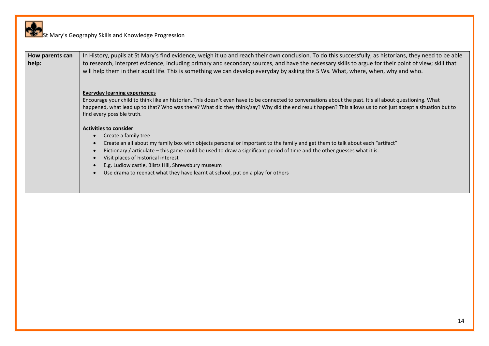| How parents can<br>help: | In History, pupils at St Mary's find evidence, weigh it up and reach their own conclusion. To do this successfully, as historians, they need to be able<br>to research, interpret evidence, including primary and secondary sources, and have the necessary skills to argue for their point of view; skill that<br>will help them in their adult life. This is something we can develop everyday by asking the 5 Ws. What, where, when, why and who.                                              |
|--------------------------|---------------------------------------------------------------------------------------------------------------------------------------------------------------------------------------------------------------------------------------------------------------------------------------------------------------------------------------------------------------------------------------------------------------------------------------------------------------------------------------------------|
|                          | <b>Everyday learning experiences</b><br>Encourage your child to think like an historian. This doesn't even have to be connected to conversations about the past. It's all about questioning. What<br>happened, what lead up to that? Who was there? What did they think/say? Why did the end result happen? This allows us to not just accept a situation but to<br>find every possible truth.                                                                                                    |
|                          | <b>Activities to consider</b><br>Create a family tree<br>Create an all about my family box with objects personal or important to the family and get them to talk about each "artifact"<br>Pictionary / articulate – this game could be used to draw a significant period of time and the other guesses what it is.<br>Visit places of historical interest<br>E.g. Ludlow castle, Blists Hill, Shrewsbury museum<br>Use drama to reenact what they have learnt at school, put on a play for others |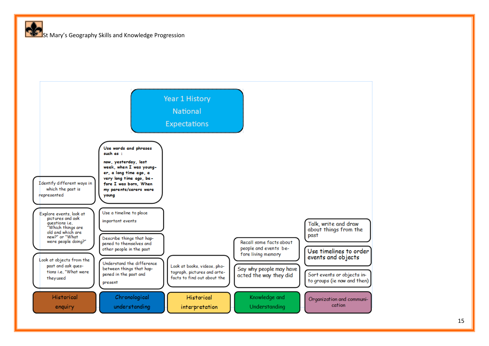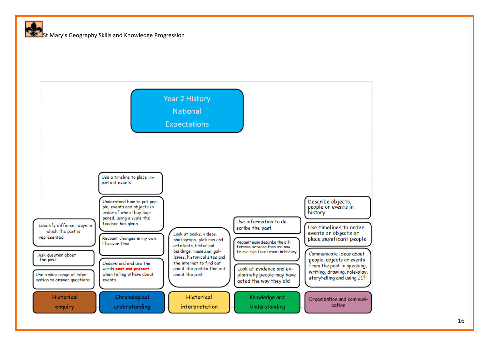

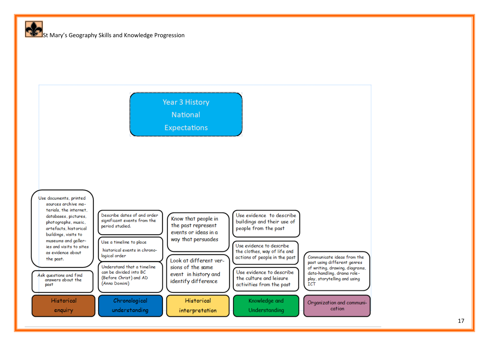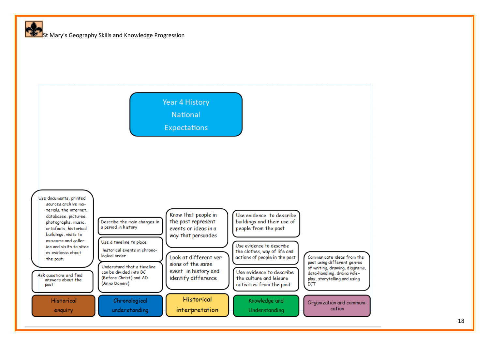**Year 4 History** 

National





18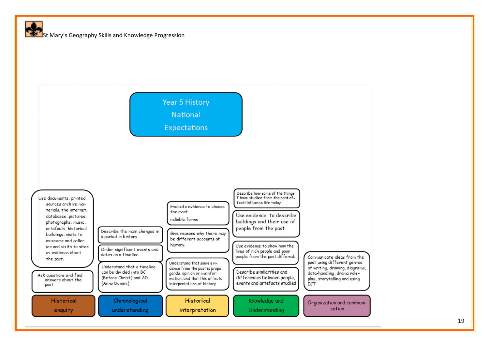